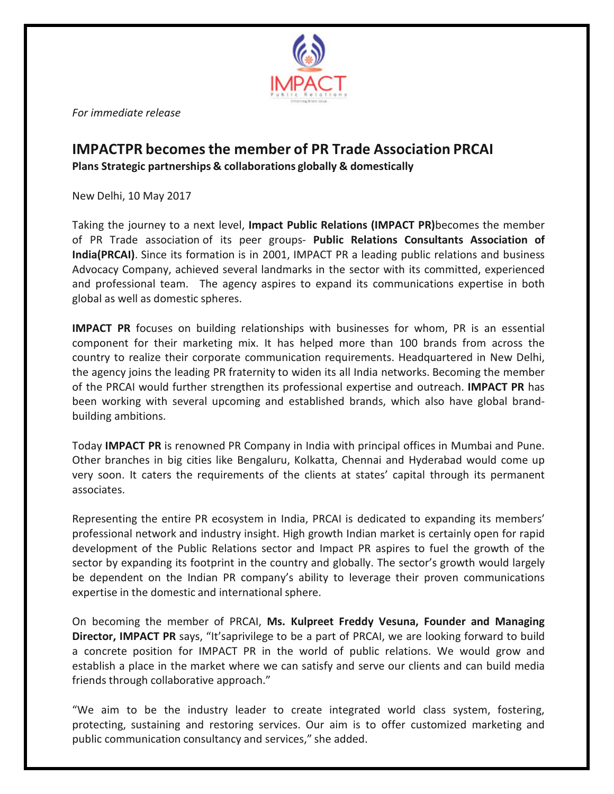

*For immediate release*

## **IMPACTPR becomesthe member of PR Trade Association PRCAI Plans Strategic partnerships & collaborations globally & domestically**

New Delhi, 10 May 2017

Taking the journey to a next level, **Impact Public Relations (IMPACT PR)**becomes the member of PR Trade association of its peer groups- **Public Relations Consultants Association of India(PRCAI)**. Since its formation is in 2001, IMPACT PR a leading public relations and business Advocacy Company, achieved several landmarks in the sector with its committed, experienced and professional team. The agency aspires to expand its communications expertise in both global as well as domestic spheres.

**IMPACT PR** focuses on building relationships with businesses for whom, PR is an essential component for their marketing mix. It has helped more than 100 brands from across the country to realize their corporate communication requirements. Headquartered in New Delhi, the agency joins the leading PR fraternity to widen its all India networks. Becoming the member of the PRCAI would further strengthen its professional expertise and outreach. **IMPACT PR** has been working with several upcoming and established brands, which also have global brandbuilding ambitions.

Today **IMPACT PR** is renowned PR Company in India with principal offices in Mumbai and Pune. Other branches in big cities like Bengaluru, Kolkatta, Chennai and Hyderabad would come up very soon. It caters the requirements of the clients at states' capital through its permanent associates.

Representing the entire PR ecosystem in India, PRCAI is dedicated to expanding its members' professional network and industry insight. High growth Indian market is certainly open for rapid development of the Public Relations sector and Impact PR aspires to fuel the growth of the sector by expanding its footprint in the country and globally. The sector's growth would largely be dependent on the Indian PR company's ability to leverage their proven communications expertise in the domestic and international sphere.

On becoming the member of PRCAI, **Ms. Kulpreet Freddy Vesuna, Founder and Managing Director, IMPACT PR** says, "It'saprivilege to be a part of PRCAI, we are looking forward to build a concrete position for IMPACT PR in the world of public relations. We would grow and establish a place in the market where we can satisfy and serve our clients and can build media friends through collaborative approach."

"We aim to be the industry leader to create integrated world class system, fostering, protecting, sustaining and restoring services. Our aim is to offer customized marketing and public communication consultancy and services," she added.